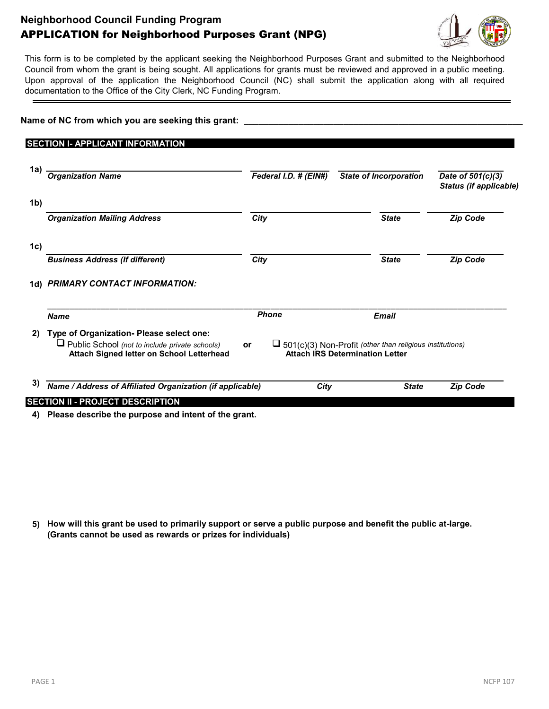## **Neighborhood Council Funding Program** APPLICATION for Neighborhood Purposes Grant (NPG)



This form is to be completed by the applicant seeking the Neighborhood Purposes Grant and submitted to the Neighborhood Council from whom the grant is being sought. All applications for grants must be reviewed and approved in a public meeting. Upon approval of the application the Neighborhood Council (NC) shall submit the application along with all required documentation to the Office of the City Clerk, NC Funding Program.

| <b>SECTION I- APPLICANT INFORMATION</b>                                                                                                        |                                         |            |                                                                                                                                                   |              |                                                                                                                                                                                                          |
|------------------------------------------------------------------------------------------------------------------------------------------------|-----------------------------------------|------------|---------------------------------------------------------------------------------------------------------------------------------------------------|--------------|----------------------------------------------------------------------------------------------------------------------------------------------------------------------------------------------------------|
|                                                                                                                                                |                                         |            |                                                                                                                                                   |              |                                                                                                                                                                                                          |
| Westwood Greenway, Inc.                                                                                                                        |                                         | 85-3149898 | California                                                                                                                                        |              | 02/24/2021                                                                                                                                                                                               |
| <b>Organization Name</b>                                                                                                                       |                                         |            |                                                                                                                                                   |              | Date of 501(c)(3)<br>Status (if applicable)                                                                                                                                                              |
| 1b) 10576 Troon Avenue                                                                                                                         |                                         |            |                                                                                                                                                   |              | 90064                                                                                                                                                                                                    |
| <b>Organization Mailing Address</b>                                                                                                            |                                         |            |                                                                                                                                                   |              | <b>Zip Code</b>                                                                                                                                                                                          |
|                                                                                                                                                |                                         |            |                                                                                                                                                   |              |                                                                                                                                                                                                          |
| <b>Business Address (If different)</b>                                                                                                         |                                         |            |                                                                                                                                                   |              | <b>Zip Code</b>                                                                                                                                                                                          |
| 1d) PRIMARY CONTACT INFORMATION:                                                                                                               |                                         |            |                                                                                                                                                   |              |                                                                                                                                                                                                          |
| Annette Mercer                                                                                                                                 |                                         |            |                                                                                                                                                   |              | president@westwoodgreenway.or                                                                                                                                                                            |
| <b>Name</b>                                                                                                                                    |                                         |            |                                                                                                                                                   |              |                                                                                                                                                                                                          |
| Type of Organization- Please select one:<br>$\Box$ Public School (not to include private schools)<br>Attach Signed letter on School Letterhead | or                                      |            |                                                                                                                                                   |              |                                                                                                                                                                                                          |
|                                                                                                                                                |                                         | City       |                                                                                                                                                   | <b>State</b> | <b>Zip Code</b>                                                                                                                                                                                          |
| 1a) -                                                                                                                                          | <b>SECTION II - PROJECT DESCRIPTION</b> |            | Federal I.D. # (EIN#)<br>Los Angeles<br>City<br>City<br>310-441-9992<br><b>Phone</b><br>Name / Address of Affiliated Organization (if applicable) |              | <b>State of Incorporation</b><br>СA<br><b>State</b><br><b>State</b><br><b>Email</b><br>$\blacksquare$ 501(c)(3) Non-Profit (other than religious institutions)<br><b>Attach IRS Determination Letter</b> |

## **4) Please describe the purpose and intent of the grant.**

The funds would be used to provide and maintain a portable restroom (including hand sanitizer) for one year. The providing company (National) would service the unit weekly. This would enable continued visits to the Greenway and provide good sanitation and hygiene for workers and visitors, reducing the potential for pollutants entering the waterway and being transported to Santa Monica Bay.

## **5) How will this grant be used to primarily support or serve a public purpose and benefit the public at-large. (Grants cannot be used as rewards or prizes for individuals)**

The Greenway has monthly public tours and weekly volunteer gardeners. City workers maintain the Greenway every two weeks. When school field trips are possible a restroom would be essential. Not all visitors come from the neighborhood and the provision of a restroom would be a public benefit. For ease of service the proposed location is at the western end of the northern Greenway, outside the fence, in the " hammerhead" turn-around. This would also make it available to the general public and transit riders, further keeping urine and fecal material off the streets and alleys and out of bushes and storm drains.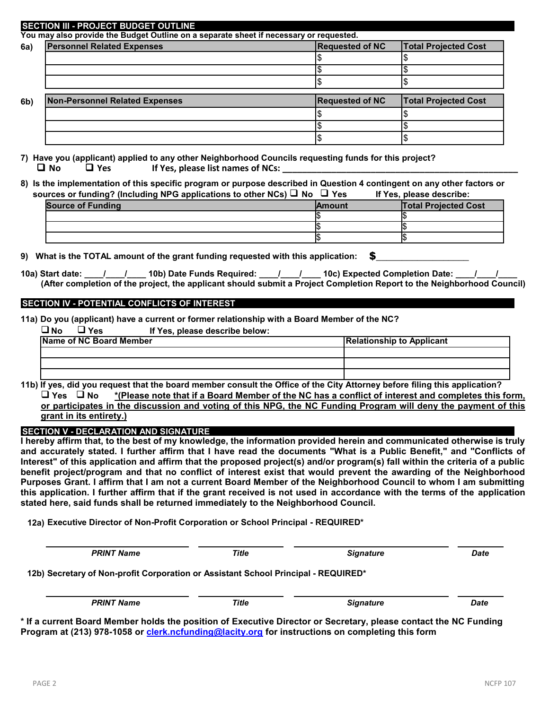|                | <b>SECTION III - PROJECT BUDGET OUTLINE</b>                                            |                        |                             |
|----------------|----------------------------------------------------------------------------------------|------------------------|-----------------------------|
|                | You may also provide the Budget Outline on a separate sheet if necessary or requested. |                        |                             |
| <b>6a</b> )    | <b>Personnel Related Expenses</b>                                                      | <b>Requested of NC</b> | <b>Total Projected Cost</b> |
|                | Servicing of unit each week                                                            | \$2040.                | \$2040.                     |
|                |                                                                                        |                        |                             |
|                |                                                                                        |                        |                             |
| 6 <sub>b</sub> | <b>Non-Personnel Related Expenses</b>                                                  | <b>Requested of NC</b> | <b>Total Projected Cost</b> |
|                | Delivery of unit                                                                       | \$70.                  | \$70.                       |
|                |                                                                                        |                        |                             |
|                |                                                                                        |                        |                             |

**7) Have you (applicant) applied to any other Neighborhood Councils requesting funds for this project? No Yes If Yes, please list names of NCs: \_\_\_\_\_\_\_\_\_\_\_\_\_\_\_\_\_\_\_\_\_\_\_\_\_\_\_\_\_\_\_\_\_\_\_\_\_\_\_\_\_\_\_\_\_\_\_\_**

**8) Is the implementation of this specific program or purpose described in Question 4 contingent on any other factors or sources or funding? (Including NPG applications to other NCs) No Yes If Yes, please describe:**

| <b>Source of Funding</b> | <b>Amount</b> | <b>Total Projected Cost</b> |
|--------------------------|---------------|-----------------------------|
|                          |               |                             |
|                          |               |                             |
|                          |               |                             |

**9)** What is the TOTAL amount of the grant funding requested with this application: \$2110.00

10a) Start date: <sup>OO</sup> \_/<sup>O +</sup>\_/<sup>Z + Z</sup>\_10b) Date Funds Required: <sup>OO</sup> \_/<sup>O +</sup>\_/<sup>Z +</sup>\_\_10c) Expected Completion Date: <sup>OO</sup> \_/<sup>OO</sup> \_/<sup>ZZ</sup> **(After completion of the project, the applicant should submit a Project Completion Report to the Neighborhood Council)**  $\frac{1}{2}$  00  $\frac{1}{2}$  10  $\frac{1}{2}$  10  $\frac{1}{2}$  = 00  $\frac{1}{2}$  08  $\frac{1}{2}$  08  $\frac{1}{2}$  08  $\frac{1}{2}$  08  $\frac{1}{2}$  06  $\frac{1}{2}$  06  $\frac{1}{2}$  02

## **SECTION IV - POTENTIAL CONFLICTS OF INTEREST**

**11a) Do you (applicant) have a current or former relationship with a Board Member of the NC?**

| 'No<br><b>U</b> Yes            | If Yes, please describe below: |      |                                  |  |  |
|--------------------------------|--------------------------------|------|----------------------------------|--|--|
| <b>Name of NC Board Member</b> |                                |      | <b>Relationship to Applicant</b> |  |  |
|                                | Sean McMillian                 |      | Ird Member, Westwood Greenway,   |  |  |
|                                |                                |      |                                  |  |  |
|                                |                                |      |                                  |  |  |
| .                              | .<br>.                         | $ -$ | .<br>.<br>.<br>----              |  |  |

**11b) If yes, did you request that the board member consult the Office of the City Attorney before filing this application? Yes No \*(Please note that if a Board Member of the NC has a conflict of interest and completes this form, or participates in the discussion and voting of this NPG, the NC Funding Program will deny the payment of this grant in its entirety.)**

**SECTION V - DECLARATION AND SIGNATURE**

**I hereby affirm that, to the best of my knowledge, the information provided herein and communicated otherwise is truly and accurately stated. I further affirm that I have read the documents "What is a Public Benefit," and "Conflicts of Interest" of this application and affirm that the proposed project(s) and/or program(s) fall within the criteria of a public benefit project/program and that no conflict of interest exist that would prevent the awarding of the Neighborhood Purposes Grant. I affirm that I am not a current Board Member of the Neighborhood Council to whom I am submitting this application. I further affirm that if the grant received is not used in accordance with the terms of the application stated here, said funds shall be returned immediately to the Neighborhood Council.**

**12a) Executive Director of Non-Profit Corporation or School Principal - REQUIRED\***

| Annette Mercer                                                                     | President |                  |             |
|------------------------------------------------------------------------------------|-----------|------------------|-------------|
| <b>PRINT Name</b>                                                                  | Title     | <b>Signature</b> | <b>Date</b> |
| 12b) Secretary of Non-profit Corporation or Assistant School Principal - REQUIRED* |           |                  |             |
| Jonathan Weiss                                                                     | Secretary |                  |             |
| <b>PRINT Name</b>                                                                  | Title     | <b>Signature</b> | <b>Date</b> |

**\* If a current Board Member holds the position of Executive Director or Secretary, please contact the NC Funding Program at (213) 978-1058 or [clerk.ncfunding@lacity.org](mailto:clerk.ncfunding@lacity.org) for instructions on completing this form**